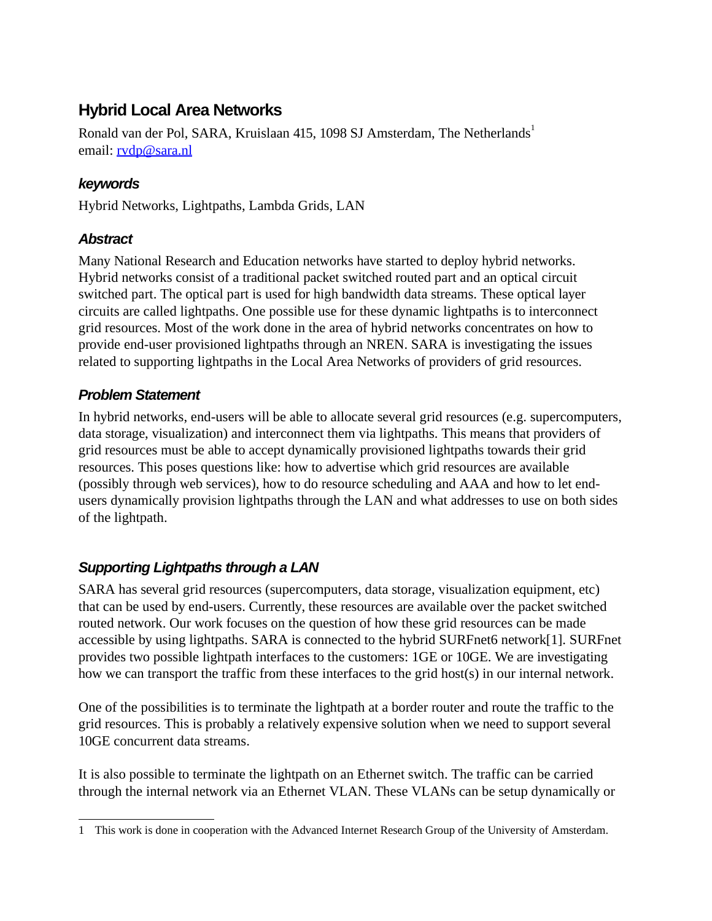# **Hybrid Local Area Networks**

Ronald van der Pol, SARA, Kruislaan 4[1](#page-0-0)5, 1098 SJ Amsterdam, The Netherlands<sup>1</sup> email: [rvdp@sara.nl](mailto:rvdp@sara.nl)

# **keywords**

Hybrid Networks, Lightpaths, Lambda Grids, LAN

#### **Abstract**

Many National Research and Education networks have started to deploy hybrid networks. Hybrid networks consist of a traditional packet switched routed part and an optical circuit switched part. The optical part is used for high bandwidth data streams. These optical layer circuits are called lightpaths. One possible use for these dynamic lightpaths is to interconnect grid resources. Most of the work done in the area of hybrid networks concentrates on how to provide end-user provisioned lightpaths through an NREN. SARA is investigating the issues related to supporting lightpaths in the Local Area Networks of providers of grid resources.

# **Problem Statement**

In hybrid networks, end-users will be able to allocate several grid resources (e.g. supercomputers, data storage, visualization) and interconnect them via lightpaths. This means that providers of grid resources must be able to accept dynamically provisioned lightpaths towards their grid resources. This poses questions like: how to advertise which grid resources are available (possibly through web services), how to do resource scheduling and AAA and how to let endusers dynamically provision lightpaths through the LAN and what addresses to use on both sides of the lightpath.

# **Supporting Lightpaths through a LAN**

SARA has several grid resources (supercomputers, data storage, visualization equipment, etc) that can be used by end-users. Currently, these resources are available over the packet switched routed network. Our work focuses on the question of how these grid resources can be made accessible by using lightpaths. SARA is connected to the hybrid SURFnet6 network[1]. SURFnet provides two possible lightpath interfaces to the customers: 1GE or 10GE. We are investigating how we can transport the traffic from these interfaces to the grid host(s) in our internal network.

One of the possibilities is to terminate the lightpath at a border router and route the traffic to the grid resources. This is probably a relatively expensive solution when we need to support several 10GE concurrent data streams.

It is also possible to terminate the lightpath on an Ethernet switch. The traffic can be carried through the internal network via an Ethernet VLAN. These VLANs can be setup dynamically or

<span id="page-0-0"></span><sup>1</sup> This work is done in cooperation with the Advanced Internet Research Group of the University of Amsterdam.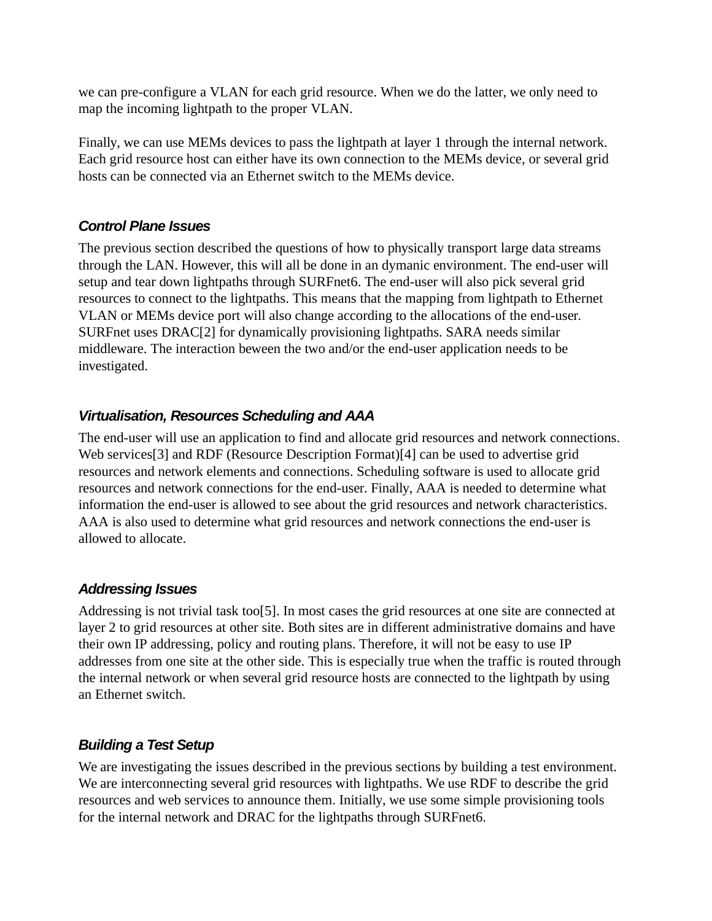we can pre-configure a VLAN for each grid resource. When we do the latter, we only need to map the incoming lightpath to the proper VLAN.

Finally, we can use MEMs devices to pass the lightpath at layer 1 through the internal network. Each grid resource host can either have its own connection to the MEMs device, or several grid hosts can be connected via an Ethernet switch to the MEMs device.

#### **Control Plane Issues**

The previous section described the questions of how to physically transport large data streams through the LAN. However, this will all be done in an dymanic environment. The end-user will setup and tear down lightpaths through SURFnet6. The end-user will also pick several grid resources to connect to the lightpaths. This means that the mapping from lightpath to Ethernet VLAN or MEMs device port will also change according to the allocations of the end-user. SURFnet uses DRAC[2] for dynamically provisioning lightpaths. SARA needs similar middleware. The interaction beween the two and/or the end-user application needs to be investigated.

#### **Virtualisation, Resources Scheduling and AAA**

The end-user will use an application to find and allocate grid resources and network connections. Web services[3] and RDF (Resource Description Format)[4] can be used to advertise grid resources and network elements and connections. Scheduling software is used to allocate grid resources and network connections for the end-user. Finally, AAA is needed to determine what information the end-user is allowed to see about the grid resources and network characteristics. AAA is also used to determine what grid resources and network connections the end-user is allowed to allocate.

#### **Addressing Issues**

Addressing is not trivial task too<sup>[5]</sup>. In most cases the grid resources at one site are connected at layer 2 to grid resources at other site. Both sites are in different administrative domains and have their own IP addressing, policy and routing plans. Therefore, it will not be easy to use IP addresses from one site at the other side. This is especially true when the traffic is routed through the internal network or when several grid resource hosts are connected to the lightpath by using an Ethernet switch.

# **Building a Test Setup**

We are investigating the issues described in the previous sections by building a test environment. We are interconnecting several grid resources with lightpaths. We use RDF to describe the grid resources and web services to announce them. Initially, we use some simple provisioning tools for the internal network and DRAC for the lightpaths through SURFnet6.